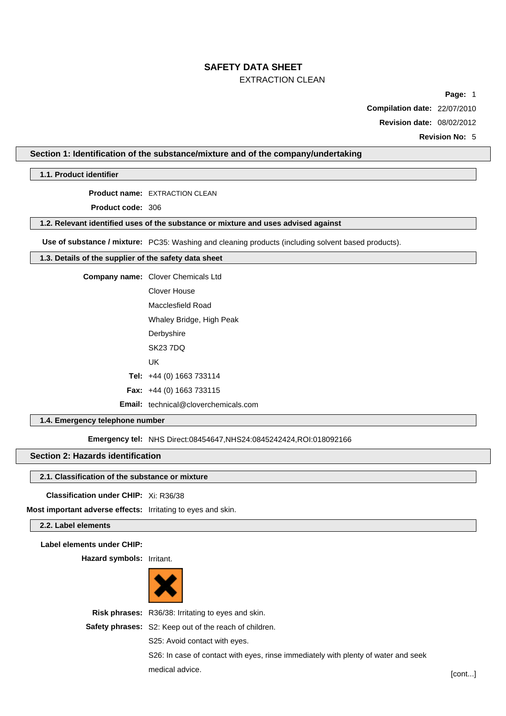# **SAFETY DATA SHEET**

# EXTRACTION CLEAN

**Page:** 1

**Compilation date:** 22/07/2010

**Revision date:** 08/02/2012

**Revision No:** 5

# **Section 1: Identification of the substance/mixture and of the company/undertaking**

**1.1. Product identifier**

**Product name:** EXTRACTION CLEAN

**Product code:** 306

# **1.2. Relevant identified uses of the substance or mixture and uses advised against**

**Use of substance / mixture:** PC35: Washing and cleaning products (including solvent based products).

# **1.3. Details of the supplier of the safety data sheet**

**Company name:** Clover Chemicals Ltd

Clover House Macclesfield Road

Whaley Bridge, High Peak

**Derbyshire** 

SK23 7DQ

UK

**Tel:** +44 (0) 1663 733114

```
Fax: +44 (0) 1663 733115
```
**Email:** technical@cloverchemicals.com

# **1.4. Emergency telephone number**

**Emergency tel: NHS Direct:08454647,NHS24:0845242424,ROI:018092166** 

# **Section 2: Hazards identification**

### **2.1. Classification of the substance or mixture**

**Classification under CHIP:** Xi: R36/38

**Most important adverse effects:** Irritating to eyes and skin.

# **2.2. Label elements**

**Label elements under CHIP:**

**Hazard symbols:** Irritant.



**Risk phrases:** R36/38: Irritating to eyes and skin.

**Safety phrases:** S2: Keep out of the reach of children.

S25: Avoid contact with eyes.

S26: In case of contact with eyes, rinse immediately with plenty of water and seek medical advice. [cont...]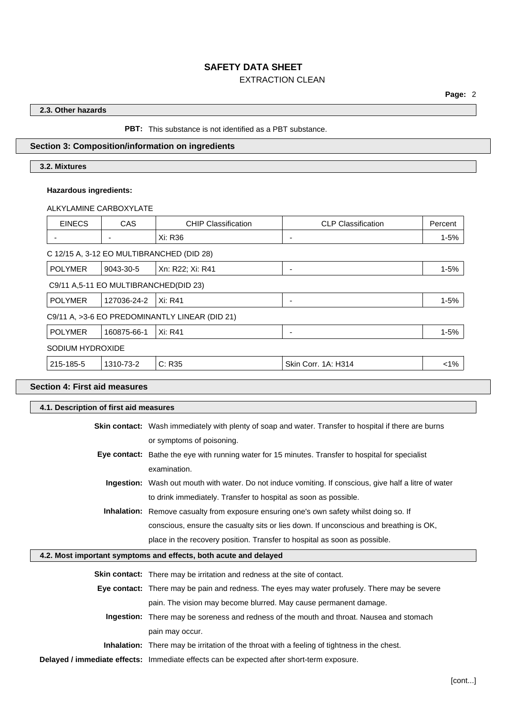# **2.3. Other hazards**

# **PBT:** This substance is not identified as a PBT substance.

# **Section 3: Composition/information on ingredients**

# **3.2. Mixtures**

# **Hazardous ingredients:**

ALKYLAMINE CARBOXYLATE

| <b>EINECS</b>    | <b>CAS</b>                            | <b>CHIP Classification</b>                     | <b>CLP Classification</b> | Percent  |
|------------------|---------------------------------------|------------------------------------------------|---------------------------|----------|
|                  |                                       | Xi: R36                                        | -                         | $1 - 5%$ |
|                  |                                       | C 12/15 A, 3-12 EO MULTIBRANCHED (DID 28)      |                           |          |
| <b>POLYMER</b>   | 9043-30-5                             | Xn: R22; Xi: R41                               | -                         | $1 - 5%$ |
|                  | C9/11 A,5-11 EO MULTIBRANCHED(DID 23) |                                                |                           |          |
| <b>POLYMER</b>   | 127036-24-2                           | Xi: R41                                        |                           | $1 - 5%$ |
|                  |                                       | C9/11 A, >3-6 EO PREDOMINANTLY LINEAR (DID 21) |                           |          |
| <b>POLYMER</b>   | 160875-66-1                           | Xi: R41                                        | $\overline{\phantom{0}}$  | $1 - 5%$ |
| SODIUM HYDROXIDE |                                       |                                                |                           |          |
| 215-185-5        | 1310-73-2                             | C: R35                                         | Skin Corr. 1A: H314       | 1%       |

# **Section 4: First aid measures**

| 4.1. Description of first aid measures |                                                                                                               |  |
|----------------------------------------|---------------------------------------------------------------------------------------------------------------|--|
|                                        | Skin contact: Wash immediately with plenty of soap and water. Transfer to hospital if there are burns         |  |
|                                        | or symptoms of poisoning.                                                                                     |  |
|                                        | Eye contact: Bathe the eye with running water for 15 minutes. Transfer to hospital for specialist             |  |
|                                        | examination.                                                                                                  |  |
|                                        | <b>Ingestion:</b> Wash out mouth with water. Do not induce vomiting. If conscious, give half a litre of water |  |
|                                        | to drink immediately. Transfer to hospital as soon as possible.                                               |  |
|                                        | Inhalation: Remove casualty from exposure ensuring one's own safety whilst doing so. If                       |  |
|                                        | conscious, ensure the casualty sits or lies down. If unconscious and breathing is OK,                         |  |
|                                        | place in the recovery position. Transfer to hospital as soon as possible.                                     |  |
|                                        | 4.2. Most important symptoms and effects, both acute and delayed                                              |  |
|                                        | <b>Skin contact:</b> There may be irritation and redness at the site of contact.                              |  |
|                                        | Eye contact: There may be pain and redness. The eyes may water profusely. There may be severe                 |  |
|                                        | pain. The vision may become blurred. May cause permanent damage.                                              |  |
|                                        | Ingestion: There may be soreness and redness of the mouth and throat. Nausea and stomach                      |  |
|                                        | pain may occur.                                                                                               |  |
|                                        | <b>Inhalation:</b> There may be irritation of the throat with a feeling of tightness in the chest.            |  |
|                                        |                                                                                                               |  |

**Delayed / immediate effects:** Immediate effects can be expected after short-term exposure.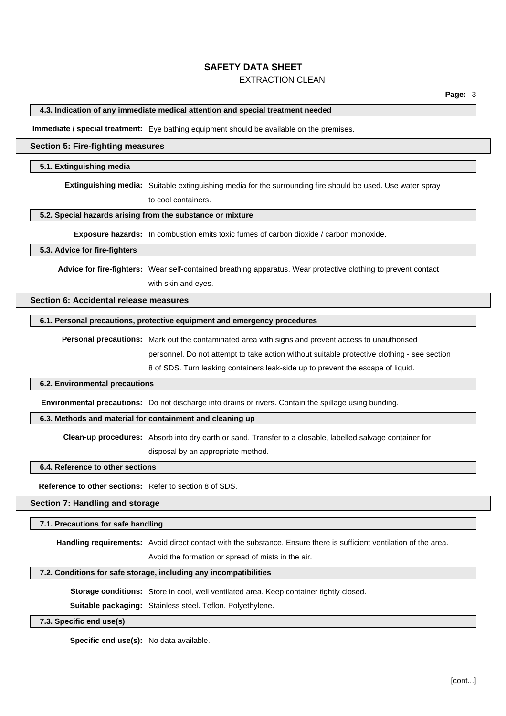# **SAFETY DATA SHEET**

# EXTRACTION CLEAN

#### **4.3. Indication of any immediate medical attention and special treatment needed**

**Immediate / special treatment:** Eye bathing equipment should be available on the premises.

#### **Section 5: Fire-fighting measures**

#### **5.1. Extinguishing media**

**Extinguishing media:** Suitable extinguishing media for the surrounding fire should be used. Use water spray

to cool containers.

### **5.2. Special hazards arising from the substance or mixture**

**Exposure hazards:** In combustion emits toxic fumes of carbon dioxide / carbon monoxide.

#### **5.3. Advice for fire-fighters**

**Advice for fire-fighters:** Wear self-contained breathing apparatus. Wear protective clothing to prevent contact

with skin and eyes.

#### **Section 6: Accidental release measures**

# **6.1. Personal precautions, protective equipment and emergency procedures**

**Personal precautions:** Mark out the contaminated area with signs and prevent access to unauthorised personnel. Do not attempt to take action without suitable protective clothing - see section

8 of SDS. Turn leaking containers leak-side up to prevent the escape of liquid.

#### **6.2. Environmental precautions**

**Environmental precautions:** Do not discharge into drains or rivers. Contain the spillage using bunding.

### **6.3. Methods and material for containment and cleaning up**

**Clean-up procedures:** Absorb into dry earth or sand. Transfer to a closable, labelled salvage container for

disposal by an appropriate method.

#### **6.4. Reference to other sections**

**Reference to other sections:** Refer to section 8 of SDS.

#### **Section 7: Handling and storage**

#### **7.1. Precautions for safe handling**

**Handling requirements:** Avoid direct contact with the substance. Ensure there is sufficient ventilation of the area.

Avoid the formation or spread of mists in the air.

# **7.2. Conditions for safe storage, including any incompatibilities**

**Storage conditions:** Store in cool, well ventilated area. Keep container tightly closed.

**Suitable packaging:** Stainless steel. Teflon. Polyethylene.

#### **7.3. Specific end use(s)**

**Specific end use(s):** No data available.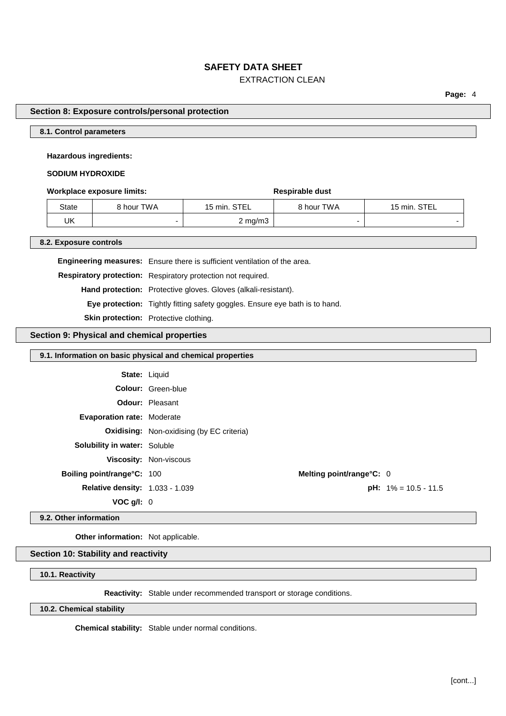**Page:** 4

#### **Section 8: Exposure controls/personal protection**

# **8.1. Control parameters**

### **Hazardous ingredients:**

# **SODIUM HYDROXIDE**

### **Workplace exposure limits: Respirable dust**

State | 8 hour TWA | 15 min. STEL | 8 hour TWA | 15 min. STEL UK - 2 mg/m3 - -

**8.2. Exposure controls**

**Engineering measures:** Ensure there is sufficient ventilation of the area.

**Respiratory protection:** Respiratory protection not required.

**Hand protection:** Protective gloves. Gloves (alkali-resistant).

**Eye protection:** Tightly fitting safety goggles. Ensure eye bath is to hand.

**Skin protection:** Protective clothing.

# **Section 9: Physical and chemical properties**

| 9.1. Information on basic physical and chemical properties |                                                  |                          |                                |
|------------------------------------------------------------|--------------------------------------------------|--------------------------|--------------------------------|
|                                                            | <b>State: Liquid</b>                             |                          |                                |
|                                                            | <b>Colour:</b> Green-blue                        |                          |                                |
|                                                            | <b>Odour: Pleasant</b>                           |                          |                                |
| <b>Evaporation rate: Moderate</b>                          |                                                  |                          |                                |
|                                                            | <b>Oxidising:</b> Non-oxidising (by EC criteria) |                          |                                |
| <b>Solubility in water: Soluble</b>                        |                                                  |                          |                                |
|                                                            | Viscosity: Non-viscous                           |                          |                                |
| Boiling point/range°C: 100                                 |                                                  | Melting point/range°C: 0 |                                |
| <b>Relative density: 1.033 - 1.039</b>                     |                                                  |                          | <b>pH:</b> $1\% = 10.5 - 11.5$ |
| VOC $g/I: 0$                                               |                                                  |                          |                                |

**9.2. Other information**

**Other information:** Not applicable.

# **Section 10: Stability and reactivity**

# **10.1. Reactivity**

**Reactivity:** Stable under recommended transport or storage conditions.

**10.2. Chemical stability**

**Chemical stability:** Stable under normal conditions.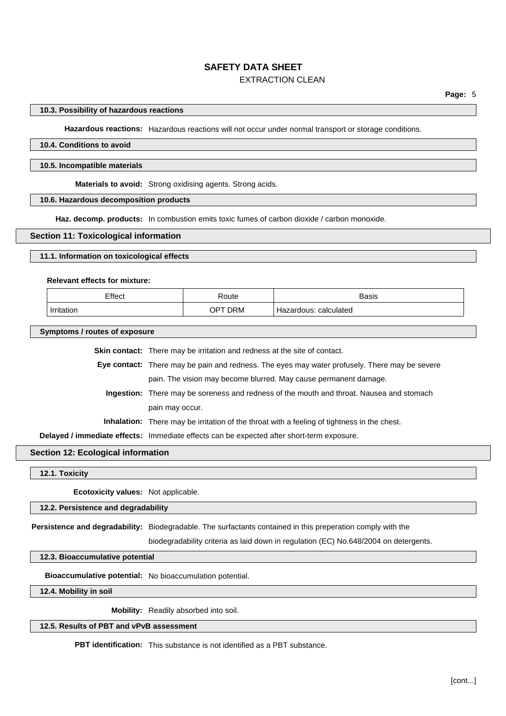#### **10.3. Possibility of hazardous reactions**

**Hazardous reactions:** Hazardous reactions will not occur under normal transport or storage conditions.

# **10.4. Conditions to avoid**

#### **10.5. Incompatible materials**

**Materials to avoid:** Strong oxidising agents. Strong acids.

# **10.6. Hazardous decomposition products**

**Haz. decomp. products:** In combustion emits toxic fumes of carbon dioxide / carbon monoxide.

### **Section 11: Toxicological information**

# **11.1. Information on toxicological effects**

#### **Relevant effects for mixture:**

| Effect     | रoute         | <b>Basis</b>             |
|------------|---------------|--------------------------|
| Irritation | DRM<br>$OP^+$ | calculated<br>Hazardous: |

#### **Symptoms / routes of exposure**

**Skin contact:** There may be irritation and redness at the site of contact.

**Eye contact:** There may be pain and redness. The eyes may water profusely. There may be severe pain. The vision may become blurred. May cause permanent damage.

**Ingestion:** There may be soreness and redness of the mouth and throat. Nausea and stomach pain may occur.

**Inhalation:** There may be irritation of the throat with a feeling of tightness in the chest.

**Delayed / immediate effects:** Immediate effects can be expected after short-term exposure.

# **Section 12: Ecological information**

**12.1. Toxicity**

**Ecotoxicity values:** Not applicable.

#### **12.2. Persistence and degradability**

**Persistence and degradability:** Biodegradable. The surfactants contained in this preperation comply with the

biodegradability criteria as laid down in regulation (EC) No.648/2004 on detergents.

#### **12.3. Bioaccumulative potential**

**Bioaccumulative potential:** No bioaccumulation potential.

**12.4. Mobility in soil**

**Mobility:** Readily absorbed into soil.

# **12.5. Results of PBT and vPvB assessment**

**PBT identification:** This substance is not identified as a PBT substance.